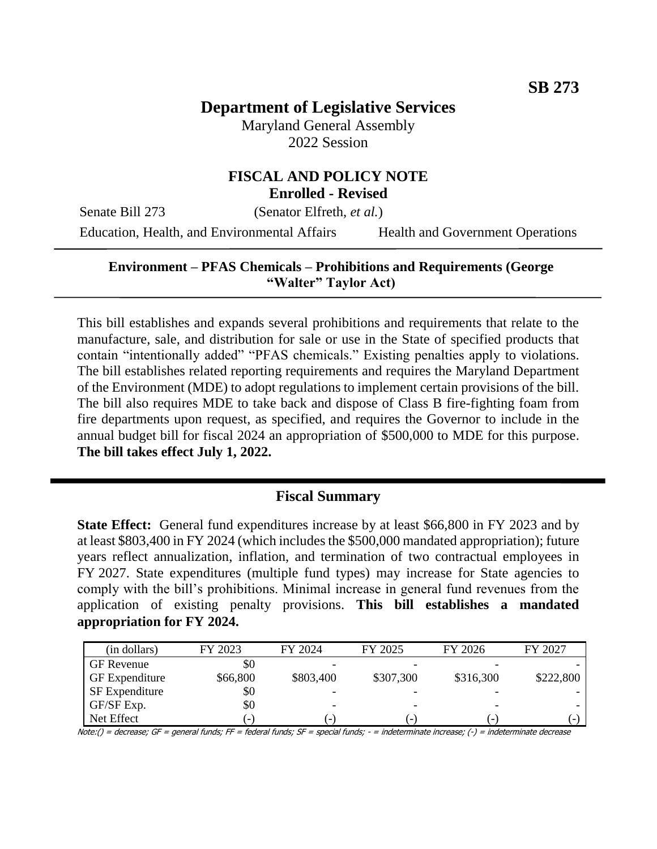# **Department of Legislative Services**

Maryland General Assembly 2022 Session

#### **FISCAL AND POLICY NOTE Enrolled - Revised**

Senate Bill 273 (Senator Elfreth, *et al.*)

Education, Health, and Environmental Affairs Health and Government Operations

#### **Environment – PFAS Chemicals – Prohibitions and Requirements (George "Walter" Taylor Act)**

This bill establishes and expands several prohibitions and requirements that relate to the manufacture, sale, and distribution for sale or use in the State of specified products that contain "intentionally added" "PFAS chemicals." Existing penalties apply to violations. The bill establishes related reporting requirements and requires the Maryland Department of the Environment (MDE) to adopt regulations to implement certain provisions of the bill. The bill also requires MDE to take back and dispose of Class B fire-fighting foam from fire departments upon request, as specified, and requires the Governor to include in the annual budget bill for fiscal 2024 an appropriation of \$500,000 to MDE for this purpose. **The bill takes effect July 1, 2022.**

## **Fiscal Summary**

**State Effect:** General fund expenditures increase by at least \$66,800 in FY 2023 and by at least \$803,400 in FY 2024 (which includes the \$500,000 mandated appropriation); future years reflect annualization, inflation, and termination of two contractual employees in FY 2027. State expenditures (multiple fund types) may increase for State agencies to comply with the bill's prohibitions. Minimal increase in general fund revenues from the application of existing penalty provisions. **This bill establishes a mandated appropriation for FY 2024.**

| (in dollars)          | FY 2023                  | FY 2024   | FY 2025                  | FY 2026                  | FY 2027   |
|-----------------------|--------------------------|-----------|--------------------------|--------------------------|-----------|
| <b>GF</b> Revenue     | \$0                      |           |                          |                          |           |
| <b>GF</b> Expenditure | \$66,800                 | \$803,400 | \$307,300                | \$316,300                | \$222,800 |
| <b>SF</b> Expenditure | \$0                      |           |                          |                          |           |
| GF/SF Exp.            | \$0                      |           | $\overline{\phantom{a}}$ |                          |           |
| Net Effect            | $\overline{\phantom{0}}$ | -         | $\overline{\phantom{a}}$ | $\overline{\phantom{a}}$ | - 1       |

Note:() = decrease; GF = general funds; FF = federal funds; SF = special funds; - = indeterminate increase; (-) = indeterminate decrease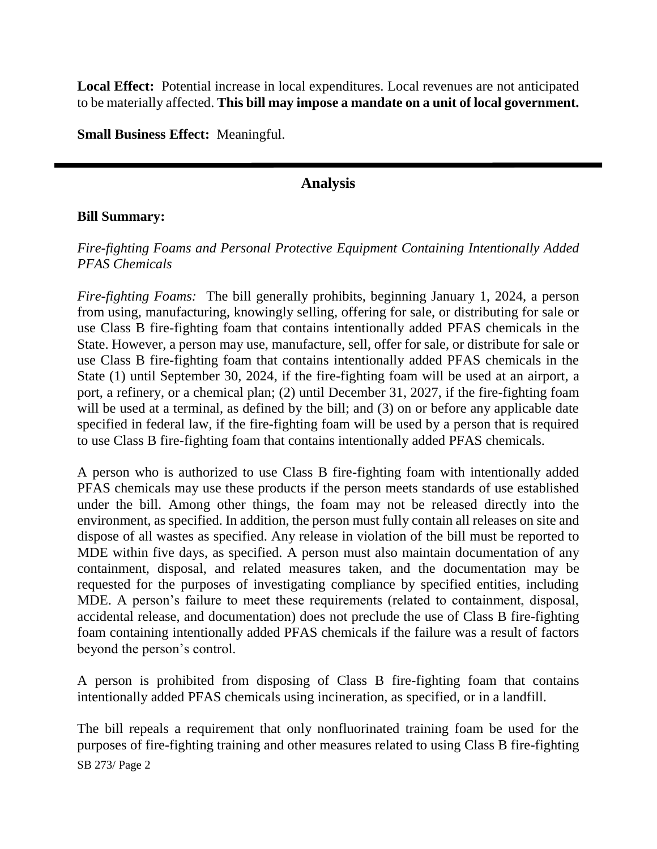Local Effect: Potential increase in local expenditures. Local revenues are not anticipated to be materially affected. **This bill may impose a mandate on a unit of local government.**

**Small Business Effect:** Meaningful.

## **Analysis**

#### **Bill Summary:**

## *Fire-fighting Foams and Personal Protective Equipment Containing Intentionally Added PFAS Chemicals*

*Fire-fighting Foams:* The bill generally prohibits, beginning January 1, 2024, a person from using, manufacturing, knowingly selling, offering for sale, or distributing for sale or use Class B fire-fighting foam that contains intentionally added PFAS chemicals in the State. However, a person may use, manufacture, sell, offer for sale, or distribute for sale or use Class B fire-fighting foam that contains intentionally added PFAS chemicals in the State (1) until September 30, 2024, if the fire-fighting foam will be used at an airport, a port, a refinery, or a chemical plan; (2) until December 31, 2027, if the fire-fighting foam will be used at a terminal, as defined by the bill; and (3) on or before any applicable date specified in federal law, if the fire-fighting foam will be used by a person that is required to use Class B fire-fighting foam that contains intentionally added PFAS chemicals.

A person who is authorized to use Class B fire-fighting foam with intentionally added PFAS chemicals may use these products if the person meets standards of use established under the bill. Among other things, the foam may not be released directly into the environment, as specified. In addition, the person must fully contain all releases on site and dispose of all wastes as specified. Any release in violation of the bill must be reported to MDE within five days, as specified. A person must also maintain documentation of any containment, disposal, and related measures taken, and the documentation may be requested for the purposes of investigating compliance by specified entities, including MDE. A person's failure to meet these requirements (related to containment, disposal, accidental release, and documentation) does not preclude the use of Class B fire-fighting foam containing intentionally added PFAS chemicals if the failure was a result of factors beyond the person's control.

A person is prohibited from disposing of Class B fire-fighting foam that contains intentionally added PFAS chemicals using incineration, as specified, or in a landfill.

SB 273/ Page 2 The bill repeals a requirement that only nonfluorinated training foam be used for the purposes of fire-fighting training and other measures related to using Class B fire-fighting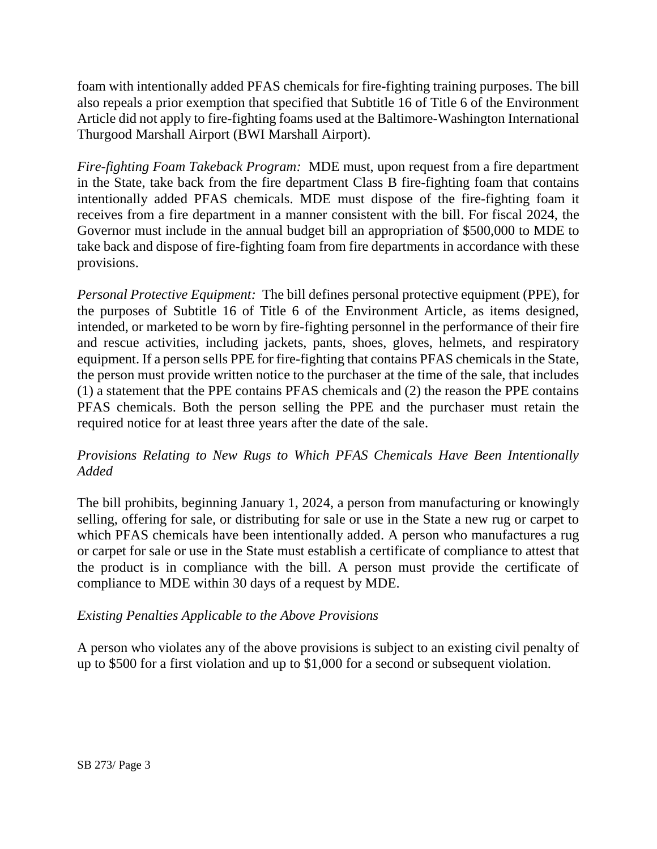foam with intentionally added PFAS chemicals for fire-fighting training purposes. The bill also repeals a prior exemption that specified that Subtitle 16 of Title 6 of the Environment Article did not apply to fire-fighting foams used at the Baltimore-Washington International Thurgood Marshall Airport (BWI Marshall Airport).

*Fire-fighting Foam Takeback Program:* MDE must, upon request from a fire department in the State, take back from the fire department Class B fire-fighting foam that contains intentionally added PFAS chemicals. MDE must dispose of the fire-fighting foam it receives from a fire department in a manner consistent with the bill. For fiscal 2024, the Governor must include in the annual budget bill an appropriation of \$500,000 to MDE to take back and dispose of fire-fighting foam from fire departments in accordance with these provisions.

*Personal Protective Equipment:* The bill defines personal protective equipment (PPE), for the purposes of Subtitle 16 of Title 6 of the Environment Article, as items designed, intended, or marketed to be worn by fire-fighting personnel in the performance of their fire and rescue activities, including jackets, pants, shoes, gloves, helmets, and respiratory equipment. If a person sells PPE for fire-fighting that contains PFAS chemicals in the State, the person must provide written notice to the purchaser at the time of the sale, that includes (1) a statement that the PPE contains PFAS chemicals and (2) the reason the PPE contains PFAS chemicals. Both the person selling the PPE and the purchaser must retain the required notice for at least three years after the date of the sale.

## *Provisions Relating to New Rugs to Which PFAS Chemicals Have Been Intentionally Added*

The bill prohibits, beginning January 1, 2024, a person from manufacturing or knowingly selling, offering for sale, or distributing for sale or use in the State a new rug or carpet to which PFAS chemicals have been intentionally added. A person who manufactures a rug or carpet for sale or use in the State must establish a certificate of compliance to attest that the product is in compliance with the bill. A person must provide the certificate of compliance to MDE within 30 days of a request by MDE.

### *Existing Penalties Applicable to the Above Provisions*

A person who violates any of the above provisions is subject to an existing civil penalty of up to \$500 for a first violation and up to \$1,000 for a second or subsequent violation.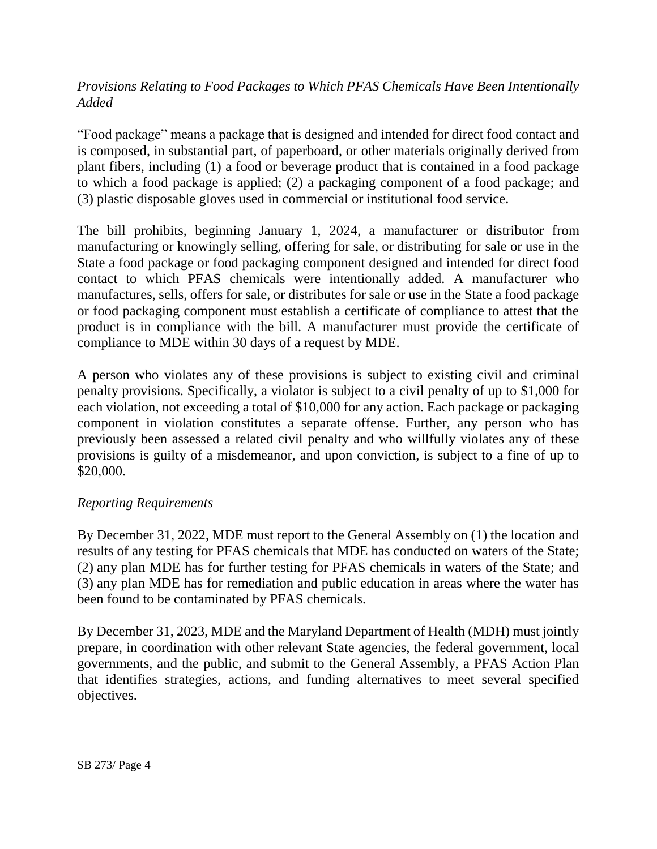## *Provisions Relating to Food Packages to Which PFAS Chemicals Have Been Intentionally Added*

"Food package" means a package that is designed and intended for direct food contact and is composed, in substantial part, of paperboard, or other materials originally derived from plant fibers, including (1) a food or beverage product that is contained in a food package to which a food package is applied; (2) a packaging component of a food package; and (3) plastic disposable gloves used in commercial or institutional food service.

The bill prohibits, beginning January 1, 2024, a manufacturer or distributor from manufacturing or knowingly selling, offering for sale, or distributing for sale or use in the State a food package or food packaging component designed and intended for direct food contact to which PFAS chemicals were intentionally added. A manufacturer who manufactures, sells, offers for sale, or distributes for sale or use in the State a food package or food packaging component must establish a certificate of compliance to attest that the product is in compliance with the bill. A manufacturer must provide the certificate of compliance to MDE within 30 days of a request by MDE.

A person who violates any of these provisions is subject to existing civil and criminal penalty provisions. Specifically, a violator is subject to a civil penalty of up to \$1,000 for each violation, not exceeding a total of \$10,000 for any action. Each package or packaging component in violation constitutes a separate offense. Further, any person who has previously been assessed a related civil penalty and who willfully violates any of these provisions is guilty of a misdemeanor, and upon conviction, is subject to a fine of up to \$20,000.

### *Reporting Requirements*

By December 31, 2022, MDE must report to the General Assembly on (1) the location and results of any testing for PFAS chemicals that MDE has conducted on waters of the State; (2) any plan MDE has for further testing for PFAS chemicals in waters of the State; and (3) any plan MDE has for remediation and public education in areas where the water has been found to be contaminated by PFAS chemicals.

By December 31, 2023, MDE and the Maryland Department of Health (MDH) must jointly prepare, in coordination with other relevant State agencies, the federal government, local governments, and the public, and submit to the General Assembly, a PFAS Action Plan that identifies strategies, actions, and funding alternatives to meet several specified objectives.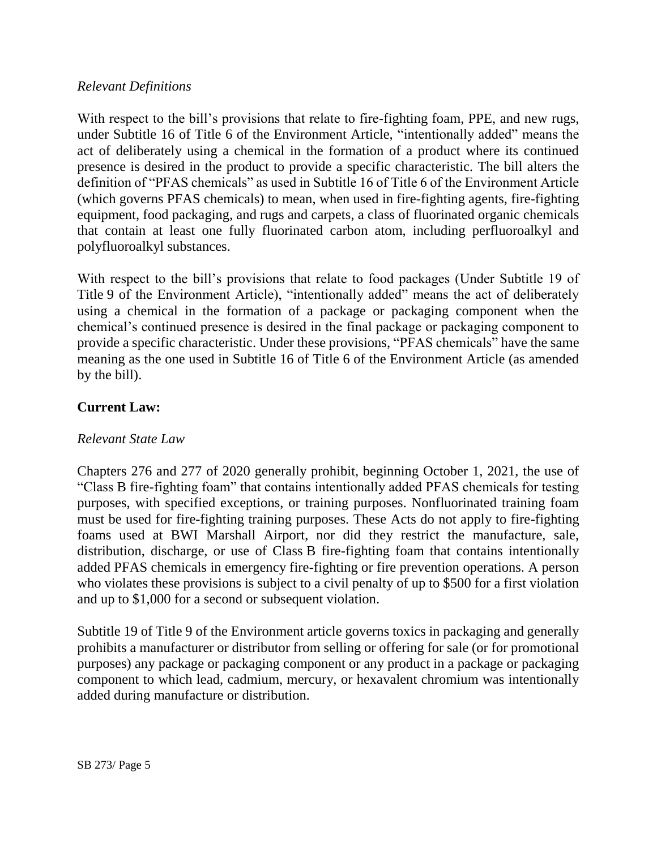#### *Relevant Definitions*

With respect to the bill's provisions that relate to fire-fighting foam, PPE, and new rugs, under Subtitle 16 of Title 6 of the Environment Article, "intentionally added" means the act of deliberately using a chemical in the formation of a product where its continued presence is desired in the product to provide a specific characteristic. The bill alters the definition of "PFAS chemicals" as used in Subtitle 16 of Title 6 of the Environment Article (which governs PFAS chemicals) to mean, when used in fire-fighting agents, fire-fighting equipment, food packaging, and rugs and carpets, a class of fluorinated organic chemicals that contain at least one fully fluorinated carbon atom, including perfluoroalkyl and polyfluoroalkyl substances.

With respect to the bill's provisions that relate to food packages (Under Subtitle 19 of Title 9 of the Environment Article), "intentionally added" means the act of deliberately using a chemical in the formation of a package or packaging component when the chemical's continued presence is desired in the final package or packaging component to provide a specific characteristic. Under these provisions, "PFAS chemicals" have the same meaning as the one used in Subtitle 16 of Title 6 of the Environment Article (as amended by the bill).

### **Current Law:**

#### *Relevant State Law*

Chapters 276 and 277 of 2020 generally prohibit, beginning October 1, 2021, the use of "Class B fire-fighting foam" that contains intentionally added PFAS chemicals for testing purposes, with specified exceptions, or training purposes. Nonfluorinated training foam must be used for fire-fighting training purposes. These Acts do not apply to fire-fighting foams used at BWI Marshall Airport, nor did they restrict the manufacture, sale, distribution, discharge, or use of Class B fire-fighting foam that contains intentionally added PFAS chemicals in emergency fire-fighting or fire prevention operations. A person who violates these provisions is subject to a civil penalty of up to \$500 for a first violation and up to \$1,000 for a second or subsequent violation.

Subtitle 19 of Title 9 of the Environment article governs toxics in packaging and generally prohibits a manufacturer or distributor from selling or offering for sale (or for promotional purposes) any package or packaging component or any product in a package or packaging component to which lead, cadmium, mercury, or hexavalent chromium was intentionally added during manufacture or distribution.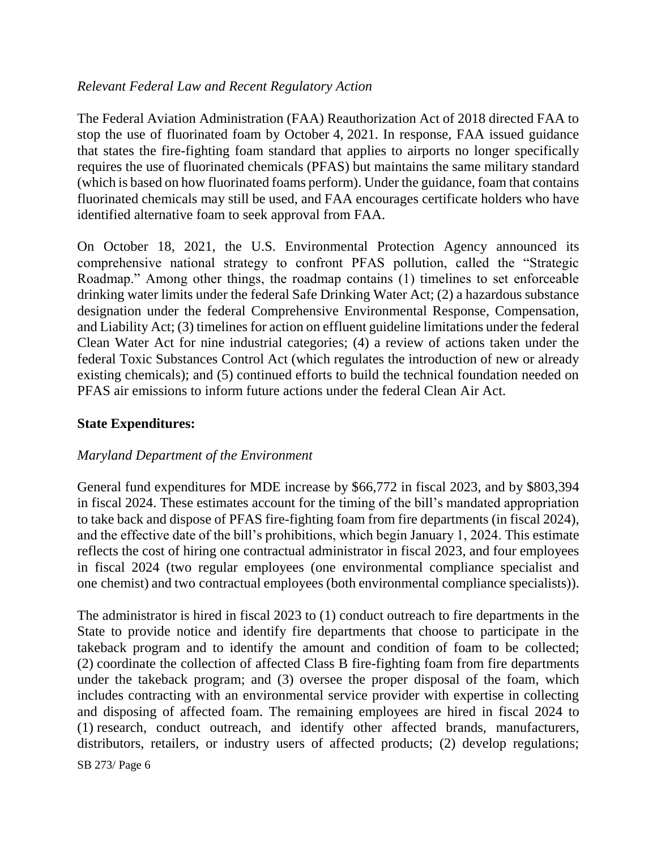### *Relevant Federal Law and Recent Regulatory Action*

The Federal Aviation Administration (FAA) Reauthorization Act of 2018 directed FAA to stop the use of fluorinated foam by October 4, 2021. In response, FAA issued guidance that states the fire-fighting foam standard that applies to airports no longer specifically requires the use of fluorinated chemicals (PFAS) but maintains the same military standard (which is based on how fluorinated foams perform). Under the guidance, foam that contains fluorinated chemicals may still be used, and FAA encourages certificate holders who have identified alternative foam to seek approval from FAA.

On October 18, 2021, the U.S. Environmental Protection Agency announced its comprehensive national strategy to confront PFAS pollution, called the "Strategic Roadmap." Among other things, the roadmap contains (1) timelines to set enforceable drinking water limits under the federal Safe Drinking Water Act; (2) a hazardous substance designation under the federal Comprehensive Environmental Response, Compensation, and Liability Act; (3) timelines for action on effluent guideline limitations under the federal Clean Water Act for nine industrial categories; (4) a review of actions taken under the federal Toxic Substances Control Act (which regulates the introduction of new or already existing chemicals); and (5) continued efforts to build the technical foundation needed on PFAS air emissions to inform future actions under the federal Clean Air Act.

## **State Expenditures:**

### *Maryland Department of the Environment*

General fund expenditures for MDE increase by \$66,772 in fiscal 2023, and by \$803,394 in fiscal 2024. These estimates account for the timing of the bill's mandated appropriation to take back and dispose of PFAS fire-fighting foam from fire departments (in fiscal 2024), and the effective date of the bill's prohibitions, which begin January 1, 2024. This estimate reflects the cost of hiring one contractual administrator in fiscal 2023, and four employees in fiscal 2024 (two regular employees (one environmental compliance specialist and one chemist) and two contractual employees (both environmental compliance specialists)).

The administrator is hired in fiscal 2023 to (1) conduct outreach to fire departments in the State to provide notice and identify fire departments that choose to participate in the takeback program and to identify the amount and condition of foam to be collected; (2) coordinate the collection of affected Class B fire-fighting foam from fire departments under the takeback program; and (3) oversee the proper disposal of the foam, which includes contracting with an environmental service provider with expertise in collecting and disposing of affected foam. The remaining employees are hired in fiscal 2024 to (1) research, conduct outreach, and identify other affected brands, manufacturers, distributors, retailers, or industry users of affected products; (2) develop regulations;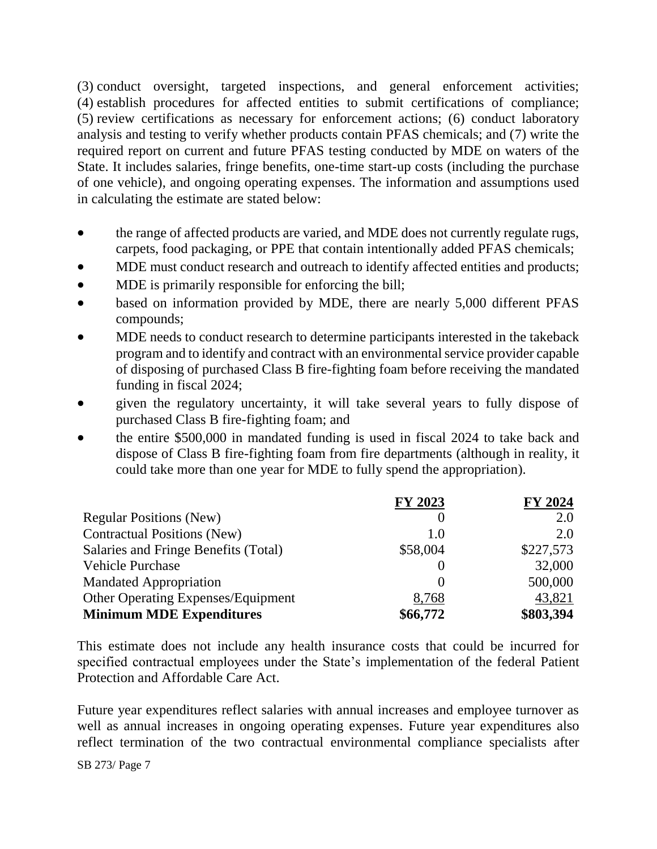(3) conduct oversight, targeted inspections, and general enforcement activities; (4) establish procedures for affected entities to submit certifications of compliance; (5) review certifications as necessary for enforcement actions; (6) conduct laboratory analysis and testing to verify whether products contain PFAS chemicals; and (7) write the required report on current and future PFAS testing conducted by MDE on waters of the State. It includes salaries, fringe benefits, one-time start-up costs (including the purchase of one vehicle), and ongoing operating expenses. The information and assumptions used in calculating the estimate are stated below:

- the range of affected products are varied, and MDE does not currently regulate rugs, carpets, food packaging, or PPE that contain intentionally added PFAS chemicals;
- MDE must conduct research and outreach to identify affected entities and products;
- MDE is primarily responsible for enforcing the bill;
- based on information provided by MDE, there are nearly 5,000 different PFAS compounds;
- MDE needs to conduct research to determine participants interested in the takeback program and to identify and contract with an environmental service provider capable of disposing of purchased Class B fire-fighting foam before receiving the mandated funding in fiscal 2024;
- given the regulatory uncertainty, it will take several years to fully dispose of purchased Class B fire-fighting foam; and
- the entire \$500,000 in mandated funding is used in fiscal 2024 to take back and dispose of Class B fire-fighting foam from fire departments (although in reality, it could take more than one year for MDE to fully spend the appropriation).

|                                           | FY 2023  | FY 2024   |
|-------------------------------------------|----------|-----------|
| <b>Regular Positions (New)</b>            |          | 2.0       |
| <b>Contractual Positions (New)</b>        | 1.0      | 2.0       |
| Salaries and Fringe Benefits (Total)      | \$58,004 | \$227,573 |
| Vehicle Purchase                          |          | 32,000    |
| <b>Mandated Appropriation</b>             | $\theta$ | 500,000   |
| <b>Other Operating Expenses/Equipment</b> | 8,768    | 43,821    |
| <b>Minimum MDE Expenditures</b>           | \$66,772 | \$803,394 |

This estimate does not include any health insurance costs that could be incurred for specified contractual employees under the State's implementation of the federal Patient Protection and Affordable Care Act.

Future year expenditures reflect salaries with annual increases and employee turnover as well as annual increases in ongoing operating expenses. Future year expenditures also reflect termination of the two contractual environmental compliance specialists after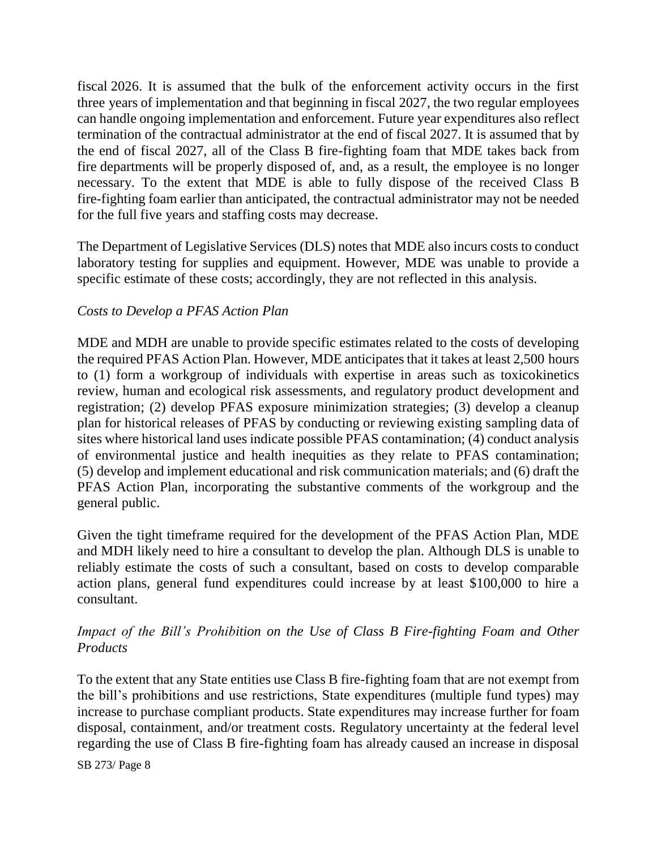fiscal 2026. It is assumed that the bulk of the enforcement activity occurs in the first three years of implementation and that beginning in fiscal 2027, the two regular employees can handle ongoing implementation and enforcement. Future year expenditures also reflect termination of the contractual administrator at the end of fiscal 2027. It is assumed that by the end of fiscal 2027, all of the Class B fire-fighting foam that MDE takes back from fire departments will be properly disposed of, and, as a result, the employee is no longer necessary. To the extent that MDE is able to fully dispose of the received Class B fire-fighting foam earlier than anticipated, the contractual administrator may not be needed for the full five years and staffing costs may decrease.

The Department of Legislative Services (DLS) notes that MDE also incurs costs to conduct laboratory testing for supplies and equipment. However, MDE was unable to provide a specific estimate of these costs; accordingly, they are not reflected in this analysis.

### *Costs to Develop a PFAS Action Plan*

MDE and MDH are unable to provide specific estimates related to the costs of developing the required PFAS Action Plan. However, MDE anticipates that it takes at least 2,500 hours to (1) form a workgroup of individuals with expertise in areas such as toxicokinetics review, human and ecological risk assessments, and regulatory product development and registration; (2) develop PFAS exposure minimization strategies; (3) develop a cleanup plan for historical releases of PFAS by conducting or reviewing existing sampling data of sites where historical land uses indicate possible PFAS contamination; (4) conduct analysis of environmental justice and health inequities as they relate to PFAS contamination; (5) develop and implement educational and risk communication materials; and (6) draft the PFAS Action Plan, incorporating the substantive comments of the workgroup and the general public.

Given the tight timeframe required for the development of the PFAS Action Plan, MDE and MDH likely need to hire a consultant to develop the plan. Although DLS is unable to reliably estimate the costs of such a consultant, based on costs to develop comparable action plans, general fund expenditures could increase by at least \$100,000 to hire a consultant.

## *Impact of the Bill's Prohibition on the Use of Class B Fire-fighting Foam and Other Products*

To the extent that any State entities use Class B fire-fighting foam that are not exempt from the bill's prohibitions and use restrictions, State expenditures (multiple fund types) may increase to purchase compliant products. State expenditures may increase further for foam disposal, containment, and/or treatment costs. Regulatory uncertainty at the federal level regarding the use of Class B fire-fighting foam has already caused an increase in disposal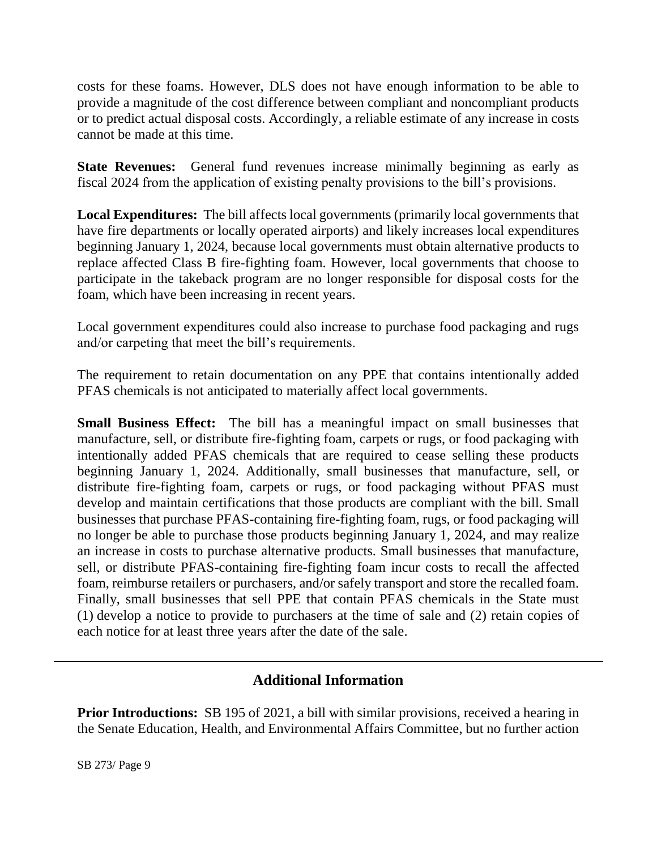costs for these foams. However, DLS does not have enough information to be able to provide a magnitude of the cost difference between compliant and noncompliant products or to predict actual disposal costs. Accordingly, a reliable estimate of any increase in costs cannot be made at this time.

**State Revenues:** General fund revenues increase minimally beginning as early as fiscal 2024 from the application of existing penalty provisions to the bill's provisions.

**Local Expenditures:** The bill affects local governments (primarily local governments that have fire departments or locally operated airports) and likely increases local expenditures beginning January 1, 2024, because local governments must obtain alternative products to replace affected Class B fire-fighting foam. However, local governments that choose to participate in the takeback program are no longer responsible for disposal costs for the foam, which have been increasing in recent years.

Local government expenditures could also increase to purchase food packaging and rugs and/or carpeting that meet the bill's requirements.

The requirement to retain documentation on any PPE that contains intentionally added PFAS chemicals is not anticipated to materially affect local governments.

**Small Business Effect:** The bill has a meaningful impact on small businesses that manufacture, sell, or distribute fire-fighting foam, carpets or rugs, or food packaging with intentionally added PFAS chemicals that are required to cease selling these products beginning January 1, 2024. Additionally, small businesses that manufacture, sell, or distribute fire-fighting foam, carpets or rugs, or food packaging without PFAS must develop and maintain certifications that those products are compliant with the bill. Small businesses that purchase PFAS-containing fire-fighting foam, rugs, or food packaging will no longer be able to purchase those products beginning January 1, 2024, and may realize an increase in costs to purchase alternative products. Small businesses that manufacture, sell, or distribute PFAS-containing fire-fighting foam incur costs to recall the affected foam, reimburse retailers or purchasers, and/or safely transport and store the recalled foam. Finally, small businesses that sell PPE that contain PFAS chemicals in the State must (1) develop a notice to provide to purchasers at the time of sale and (2) retain copies of each notice for at least three years after the date of the sale.

# **Additional Information**

**Prior Introductions:** SB 195 of 2021, a bill with similar provisions, received a hearing in the Senate Education, Health, and Environmental Affairs Committee, but no further action